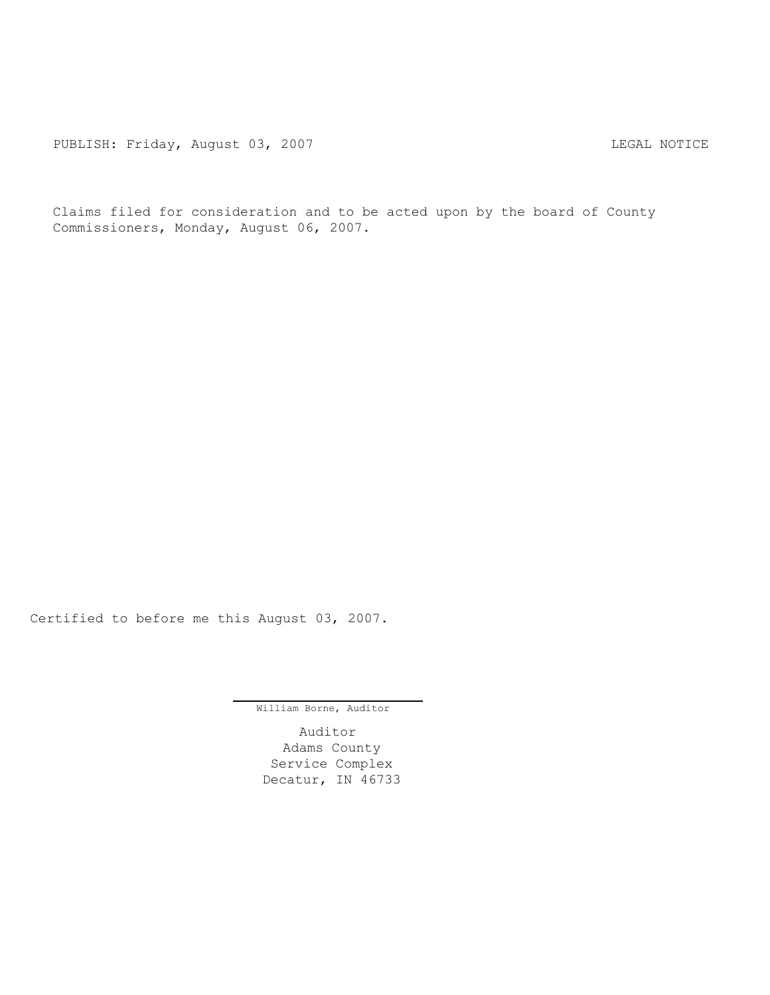PUBLISH: Friday, August 03, 2007 CHA CHANGE CONTROLLY AND THE LEGAL NOTICE

Claims filed for consideration and to be acted upon by the board of County Commissioners, Monday, August 06, 2007.

Certified to before me this August 03, 2007.

William Borne, Auditor

Auditor Adams County Service Complex Decatur, IN 46733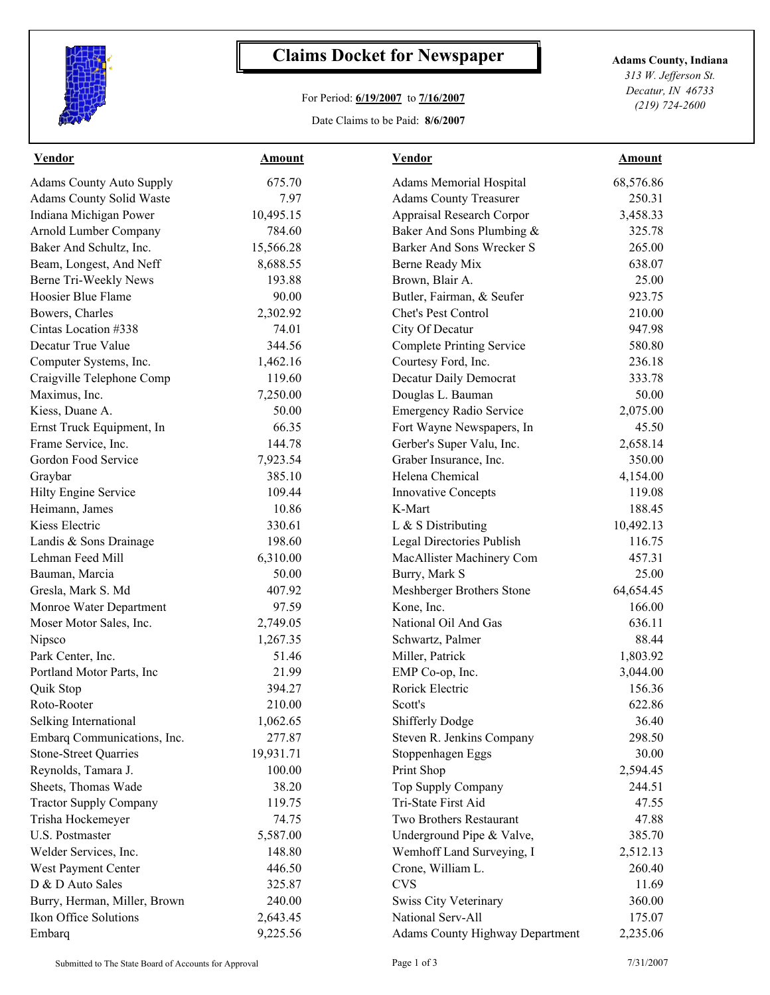

## **Claims Docket for Newspaper Adams County, Indiana**

## For Period: **6/19/2007** to **7/16/2007**

Date Claims to be Paid: **8/6/2007**

*313 W. Jefferson St. Decatur, IN 46733 (219) 724-2600*

| <b>Vendor</b>                   | <b>Amount</b> | <b>Vendor</b>                          | <b>Amount</b> |  |
|---------------------------------|---------------|----------------------------------------|---------------|--|
| <b>Adams County Auto Supply</b> | 675.70        | Adams Memorial Hospital                | 68,576.86     |  |
| <b>Adams County Solid Waste</b> | 7.97          | <b>Adams County Treasurer</b>          | 250.31        |  |
| Indiana Michigan Power          | 10,495.15     | Appraisal Research Corpor              | 3,458.33      |  |
| Arnold Lumber Company           | 784.60        | Baker And Sons Plumbing &              | 325.78        |  |
| Baker And Schultz, Inc.         | 15,566.28     | Barker And Sons Wrecker S              | 265.00        |  |
| Beam, Longest, And Neff         | 8,688.55      | Berne Ready Mix                        | 638.07        |  |
| Berne Tri-Weekly News           | 193.88        | Brown, Blair A.                        | 25.00         |  |
| Hoosier Blue Flame              | 90.00         | Butler, Fairman, & Seufer              | 923.75        |  |
| Bowers, Charles                 | 2,302.92      | <b>Chet's Pest Control</b>             | 210.00        |  |
| Cintas Location #338            | 74.01         | City Of Decatur                        | 947.98        |  |
| Decatur True Value              | 344.56        | <b>Complete Printing Service</b>       | 580.80        |  |
| Computer Systems, Inc.          | 1,462.16      | Courtesy Ford, Inc.                    | 236.18        |  |
| Craigville Telephone Comp       | 119.60        | Decatur Daily Democrat                 | 333.78        |  |
| Maximus, Inc.                   | 7,250.00      | Douglas L. Bauman                      | 50.00         |  |
| Kiess, Duane A.                 | 50.00         | <b>Emergency Radio Service</b>         | 2,075.00      |  |
| Ernst Truck Equipment, In       | 66.35         | Fort Wayne Newspapers, In              | 45.50         |  |
| Frame Service, Inc.             | 144.78        | Gerber's Super Valu, Inc.              | 2,658.14      |  |
| Gordon Food Service             | 7,923.54      | Graber Insurance, Inc.                 | 350.00        |  |
| Graybar                         | 385.10        | Helena Chemical                        | 4,154.00      |  |
| Hilty Engine Service            | 109.44        | <b>Innovative Concepts</b>             | 119.08        |  |
| Heimann, James                  | 10.86         | K-Mart                                 | 188.45        |  |
| Kiess Electric                  | 330.61        | L & S Distributing                     | 10,492.13     |  |
| Landis & Sons Drainage          | 198.60        | Legal Directories Publish              | 116.75        |  |
| Lehman Feed Mill                | 6,310.00      | MacAllister Machinery Com              | 457.31        |  |
| Bauman, Marcia                  | 50.00         | Burry, Mark S                          | 25.00         |  |
| Gresla, Mark S. Md              | 407.92        | Meshberger Brothers Stone              | 64,654.45     |  |
| Monroe Water Department         | 97.59         | Kone, Inc.                             | 166.00        |  |
| Moser Motor Sales, Inc.         | 2,749.05      | National Oil And Gas                   | 636.11        |  |
| Nipsco                          | 1,267.35      | Schwartz, Palmer                       | 88.44         |  |
| Park Center, Inc.               | 51.46         | Miller, Patrick                        | 1,803.92      |  |
| Portland Motor Parts, Inc       | 21.99         | EMP Co-op, Inc.                        | 3,044.00      |  |
| Quik Stop                       | 394.27        | Rorick Electric                        | 156.36        |  |
| Roto-Rooter                     | 210.00        | Scott's                                | 622.86        |  |
| Selking International           | 1,062.65      | <b>Shifferly Dodge</b>                 | 36.40         |  |
| Embarq Communications, Inc.     | 277.87        | Steven R. Jenkins Company              | 298.50        |  |
| <b>Stone-Street Quarries</b>    | 19,931.71     | Stoppenhagen Eggs                      | 30.00         |  |
| Reynolds, Tamara J.             | 100.00        | Print Shop                             | 2,594.45      |  |
| Sheets, Thomas Wade             | 38.20         | Top Supply Company                     | 244.51        |  |
| <b>Tractor Supply Company</b>   | 119.75        | Tri-State First Aid                    | 47.55         |  |
| Trisha Hockemeyer               | 74.75         | Two Brothers Restaurant                | 47.88         |  |
| U.S. Postmaster                 | 5,587.00      | Underground Pipe & Valve,              | 385.70        |  |
| Welder Services, Inc.           | 148.80        | Wemhoff Land Surveying, I              | 2,512.13      |  |
| West Payment Center             | 446.50        | Crone, William L.                      | 260.40        |  |
| D & D Auto Sales                | 325.87        | <b>CVS</b>                             | 11.69         |  |
| Burry, Herman, Miller, Brown    | 240.00        | Swiss City Veterinary                  | 360.00        |  |
| Ikon Office Solutions           | 2,643.45      | National Serv-All                      | 175.07        |  |
| Embarq                          | 9,225.56      | <b>Adams County Highway Department</b> | 2,235.06      |  |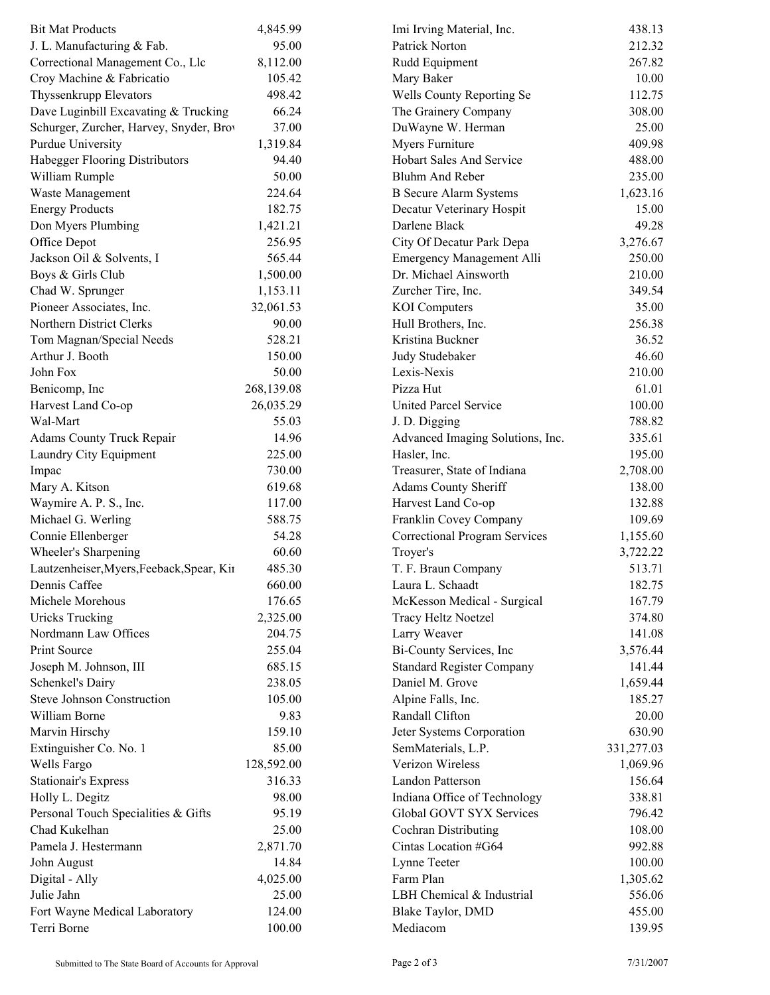| <b>Bit Mat Products</b>                   | 4,845.99   | Imi Irving Material, Inc.                   | 438.13             |  |
|-------------------------------------------|------------|---------------------------------------------|--------------------|--|
| J. L. Manufacturing & Fab.                | 95.00      | Patrick Norton                              | 212.32             |  |
| Correctional Management Co., Llc          | 8,112.00   | Rudd Equipment                              | 267.82             |  |
| Croy Machine & Fabricatio                 | 105.42     | Mary Baker                                  | 10.00              |  |
| Thyssenkrupp Elevators                    | 498.42     | Wells County Reporting Se                   | 112.75             |  |
| Dave Luginbill Excavating & Trucking      | 66.24      | The Grainery Company                        | 308.00             |  |
| Schurger, Zurcher, Harvey, Snyder, Brov   | 37.00      | DuWayne W. Herman                           | 25.00              |  |
| Purdue University                         | 1,319.84   | Myers Furniture                             | 409.98             |  |
| Habegger Flooring Distributors            | 94.40      | Hobart Sales And Service                    | 488.00             |  |
| William Rumple                            | 50.00      | <b>Bluhm And Reber</b>                      | 235.00             |  |
| Waste Management                          | 224.64     | <b>B</b> Secure Alarm Systems               | 1,623.16           |  |
| <b>Energy Products</b>                    | 182.75     | Decatur Veterinary Hospit                   | 15.00              |  |
| Don Myers Plumbing                        | 1,421.21   | Darlene Black                               | 49.28              |  |
| Office Depot                              | 256.95     | City Of Decatur Park Depa                   | 3,276.67           |  |
| Jackson Oil & Solvents, I                 | 565.44     | Emergency Management Alli                   | 250.00             |  |
| Boys & Girls Club                         | 1,500.00   | Dr. Michael Ainsworth                       | 210.00             |  |
| Chad W. Sprunger                          | 1,153.11   | Zurcher Tire, Inc.                          | 349.54             |  |
| Pioneer Associates, Inc.                  | 32,061.53  | <b>KOI</b> Computers                        | 35.00              |  |
| Northern District Clerks                  | 90.00      | Hull Brothers, Inc.                         | 256.38             |  |
| Tom Magnan/Special Needs                  | 528.21     | Kristina Buckner                            | 36.52              |  |
| Arthur J. Booth                           | 150.00     | Judy Studebaker                             | 46.60              |  |
| John Fox                                  | 50.00      | Lexis-Nexis                                 | 210.00             |  |
| Benicomp, Inc.                            | 268,139.08 | Pizza Hut                                   | 61.01              |  |
| Harvest Land Co-op                        | 26,035.29  | <b>United Parcel Service</b>                | 100.00             |  |
| Wal-Mart                                  | 55.03      | J. D. Digging                               | 788.82             |  |
| Adams County Truck Repair                 | 14.96      | Advanced Imaging Solutions, Inc.            | 335.61             |  |
| Laundry City Equipment                    | 225.00     |                                             | 195.00             |  |
|                                           | 730.00     | Hasler, Inc.<br>Treasurer, State of Indiana |                    |  |
| Impac                                     | 619.68     |                                             | 2,708.00<br>138.00 |  |
| Mary A. Kitson                            |            | Adams County Sheriff                        |                    |  |
| Waymire A. P. S., Inc.                    | 117.00     | Harvest Land Co-op                          | 132.88             |  |
| Michael G. Werling                        | 588.75     | Franklin Covey Company                      | 109.69             |  |
| Connie Ellenberger                        | 54.28      | Correctional Program Services               | 1,155.60           |  |
| Wheeler's Sharpening                      | 60.60      | Troyer's                                    | 3,722.22           |  |
| Lautzenheiser, Myers, Feeback, Spear, Kir | 485.30     | T. F. Braun Company                         | 513.71             |  |
| Dennis Caffee                             | 660.00     | Laura L. Schaadt                            | 182.75             |  |
| Michele Morehous                          | 176.65     | McKesson Medical - Surgical                 | 167.79             |  |
| <b>Uricks Trucking</b>                    | 2,325.00   | <b>Tracy Heltz Noetzel</b>                  | 374.80             |  |
| Nordmann Law Offices                      | 204.75     | Larry Weaver                                | 141.08             |  |
| Print Source                              | 255.04     | Bi-County Services, Inc.                    | 3,576.44           |  |
| Joseph M. Johnson, III                    | 685.15     | <b>Standard Register Company</b>            | 141.44             |  |
| Schenkel's Dairy                          | 238.05     | Daniel M. Grove                             | 1,659.44           |  |
| Steve Johnson Construction                | 105.00     | Alpine Falls, Inc.                          | 185.27             |  |
| William Borne                             | 9.83       | Randall Clifton                             | 20.00              |  |
| Marvin Hirschy                            | 159.10     | Jeter Systems Corporation                   | 630.90             |  |
| Extinguisher Co. No. 1                    | 85.00      | SemMaterials, L.P.                          | 331,277.03         |  |
| Wells Fargo                               | 128,592.00 | Verizon Wireless                            | 1,069.96           |  |
| <b>Stationair's Express</b>               | 316.33     | Landon Patterson                            | 156.64             |  |
| Holly L. Degitz                           | 98.00      | Indiana Office of Technology                | 338.81             |  |
| Personal Touch Specialities & Gifts       | 95.19      | Global GOVT SYX Services                    | 796.42             |  |
| Chad Kukelhan                             | 25.00      | Cochran Distributing                        | 108.00             |  |
| Pamela J. Hestermann                      | 2,871.70   | Cintas Location #G64                        | 992.88             |  |
| John August                               | 14.84      | Lynne Teeter                                | 100.00             |  |
| Digital - Ally                            | 4,025.00   | Farm Plan                                   | 1,305.62           |  |
| Julie Jahn                                | 25.00      | LBH Chemical & Industrial                   | 556.06             |  |
| Fort Wayne Medical Laboratory             | 124.00     | Blake Taylor, DMD                           | 455.00             |  |
| Terri Borne                               | 100.00     | Mediacom                                    | 139.95             |  |